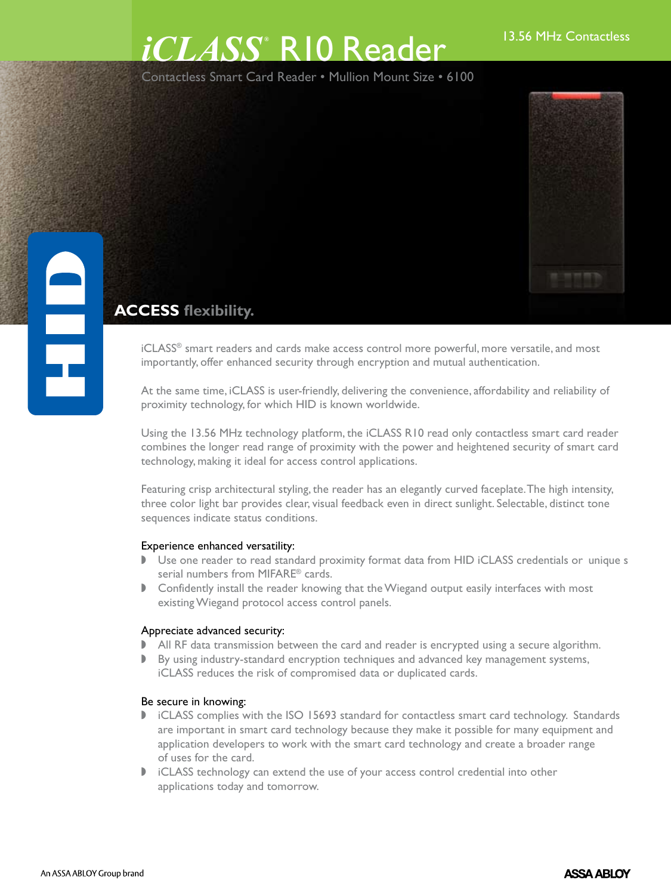# 13.56 MHz Contactless *iCLASS ®* R10 Reader

Contactless Smart Card Reader • Mullion Mount Size • 6100



## **ACCESS flexibility.**

iCLASS® smart readers and cards make access control more powerful, more versatile, and most importantly, offer enhanced security through encryption and mutual authentication.

At the same time, iCLASS is user-friendly, delivering the convenience, affordability and reliability of proximity technology, for which HID is known worldwide.

Using the 13.56 MHz technology platform, the iCLASS R10 read only contactless smart card reader combines the longer read range of proximity with the power and heightened security of smart card technology, making it ideal for access control applications.

Featuring crisp architectural styling, the reader has an elegantly curved faceplate. The high intensity, three color light bar provides clear, visual feedback even in direct sunlight. Selectable, distinct tone sequences indicate status conditions.

### Experience enhanced versatility:

- Use one reader to read standard proximity format data from HID iCLASS credentials or unique s serial numbers from MIFARE® cards.
- **D** Confidently install the reader knowing that the Wiegand output easily interfaces with most existing Wiegand protocol access control panels.

### Appreciate advanced security:

- All RF data transmission between the card and reader is encrypted using a secure algorithm.
- $\blacktriangleright$  By using industry-standard encryption techniques and advanced key management systems, iCLASS reduces the risk of compromised data or duplicated cards.

#### Be secure in knowing:

- I iCLASS complies with the ISO 15693 standard for contactless smart card technology. Standards are important in smart card technology because they make it possible for many equipment and application developers to work with the smart card technology and create a broader range of uses for the card.
- $\triangleright$  iCLASS technology can extend the use of your access control credential into other applications today and tomorrow.